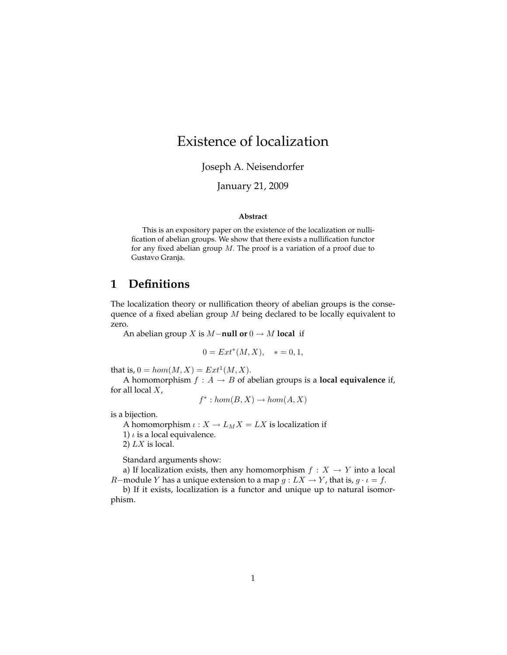# Existence of localization

Joseph A. Neisendorfer

#### January 21, 2009

#### **Abstract**

This is an expository paper on the existence of the localization or nullification of abelian groups. We show that there exists a nullification functor for any fixed abelian group  $M$ . The proof is a variation of a proof due to Gustavo Granja.

### **1 Definitions**

The localization theory or nullification theory of abelian groups is the consequence of a fixed abelian group  $M$  being declared to be locally equivalent to zero.

An abelian group X is M−**null or** 0 → M **local** if

$$
0 = Ext^*(M, X), \quad * = 0, 1,
$$

that is,  $0 = hom(M, X) = Ext^{1}(M, X)$ .

A homomorphism  $f : A \rightarrow B$  of abelian groups is a **local equivalence** if, for all local  $X$ ,

$$
f^* : hom(B, X) \to hom(A, X)
$$

is a bijection.

A homomorphism  $\iota: X \to L_M X = L X$  is localization if

1)  $\iota$  is a local equivalence.

2)  $LX$  is local.

Standard arguments show:

a) If localization exists, then any homomorphism  $f : X \to Y$  into a local *R*−module *Y* has a unique extension to a map  $g: LX \to Y$ , that is,  $g \cdot \iota = f$ .

b) If it exists, localization is a functor and unique up to natural isomorphism.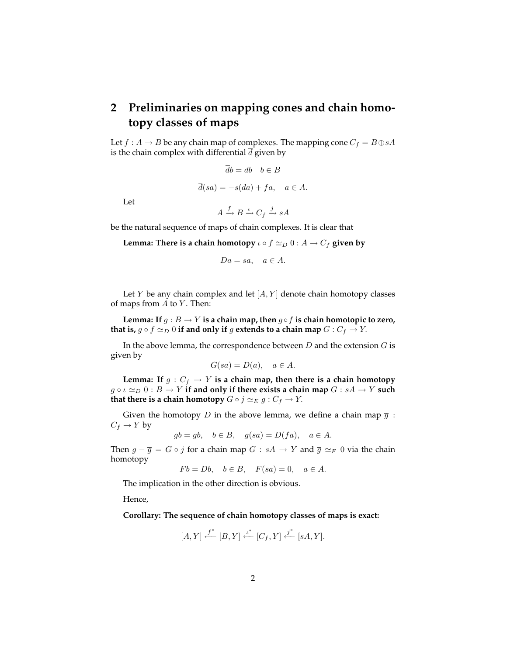## **2 Preliminaries on mapping cones and chain homotopy classes of maps**

Let  $f : A \to B$  be any chain map of complexes. The mapping cone  $C_f = B \oplus sA$ is the chain complex with differential  $\overline{d}$  given by

$$
\overline{d}b = db \quad b \in B
$$

$$
\overline{d}(sa) = -s(da) + fa, \quad a \in A.
$$

Let

 $A \xrightarrow{f} B \xrightarrow{\iota} C_f \xrightarrow{j} sA$ 

be the natural sequence of maps of chain complexes. It is clear that

**Lemma: There is a chain homotopy**  $\iota \circ f \simeq_D 0 : A \to C_f$  given by

$$
Da = sa, \quad a \in A.
$$

Let  $Y$  be any chain complex and let  $[A, Y]$  denote chain homotopy classes of maps from  $A$  to  $Y$ . Then:

Lemma: If  $g : B \to Y$  is a chain map, then  $g \circ f$  is chain homotopic to zero, **that is,**  $g \circ f \simeq_D 0$  **if and only if**  $g$  **extends to a chain map**  $G : C_f \to Y$ .

In the above lemma, the correspondence between  $D$  and the extension  $G$  is given by

$$
G(sa) = D(a), \quad a \in A.
$$

Lemma: If  $g : C_f \to Y$  is a chain map, then there is a chain homotopy  $g \circ \iota \simeq_D 0 : B \to Y$  if and only if there exists a chain map  $G : sA \to Y$  such **that there is a chain homotopy**  $G \circ j \simeq_E g : C_f \to Y$ .

Given the homotopy D in the above lemma, we define a chain map  $\overline{g}$  :  $C_f \rightarrow Y$  by

 $\overline{g}b = qb, \quad b \in B, \quad \overline{g}(sa) = D(fa), \quad a \in A.$ 

Then  $g - \overline{g} = G \circ j$  for a chain map  $G : sA \to Y$  and  $\overline{g} \simeq_F 0$  via the chain homotopy

 $Fb = Db, b \in B, F(sa) = 0, a \in A.$ 

The implication in the other direction is obvious.

Hence,

**Corollary: The sequence of chain homotopy classes of maps is exact:**

$$
[A,Y] \stackrel{f^*}{\longleftarrow} [B,Y] \stackrel{\iota^*}{\longleftarrow} [C_f,Y] \stackrel{j^*}{\longleftarrow} [sA,Y].
$$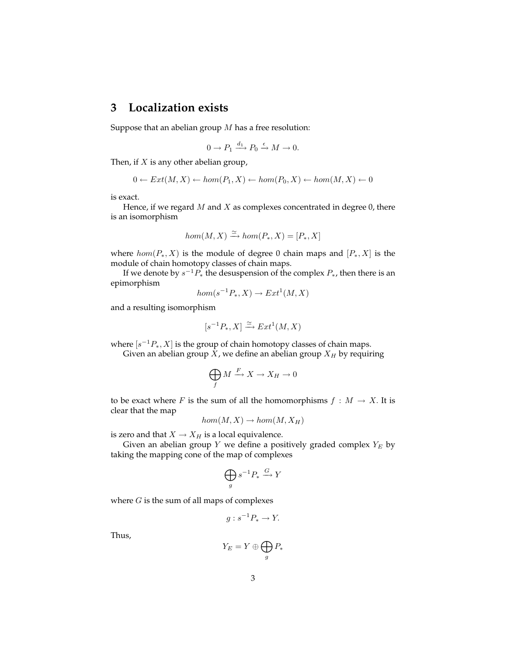### **3 Localization exists**

Suppose that an abelian group  $M$  has a free resolution:

$$
0 \to P_1 \xrightarrow{d_1} P_0 \xrightarrow{\epsilon} M \to 0.
$$

Then, if  $X$  is any other abelian group,

$$
0 \leftarrow Ext(M, X) \leftarrow hom(P_1, X) \leftarrow hom(P_0, X) \leftarrow hom(M, X) \leftarrow 0
$$

is exact.

Hence, if we regard  $M$  and  $X$  as complexes concentrated in degree  $0$ , there is an isomorphism

$$
hom(M, X) \xrightarrow{\simeq} hom(P_*, X) = [P_*, X]
$$

where  $hom(P_*, X)$  is the module of degree 0 chain maps and  $[P_*, X]$  is the module of chain homotopy classes of chain maps.

If we denote by  $s^{-1}P_*$  the desuspension of the complex  $P_*$ , then there is an epimorphism

$$
hom(s^{-1}P_*, X) \to Ext^1(M, X)
$$

and a resulting isomorphism

$$
[s^{-1}P_*, X] \xrightarrow{\simeq} Ext^1(M, X)
$$

where  $[s^{-1}P_*, X]$  is the group of chain homotopy classes of chain maps.

Given an abelian group  $X$ , we define an abelian group  $X_H$  by requiring

$$
\bigoplus_f M \xrightarrow{F} X \to X_H \to 0
$$

to be exact where F is the sum of all the homomorphisms  $f : M \to X$ . It is clear that the map

$$
hom(M, X) \to hom(M, X_H)
$$

is zero and that  $X \to X_H$  is a local equivalence.

Given an abelian group Y we define a positively graded complex  $Y_E$  by taking the mapping cone of the map of complexes

$$
\bigoplus_{g} s^{-1} P_* \xrightarrow{G} Y
$$

where  $G$  is the sum of all maps of complexes

$$
g: s^{-1}P_* \to Y.
$$

Thus,

$$
Y_E=Y\oplus\bigoplus_g P_*
$$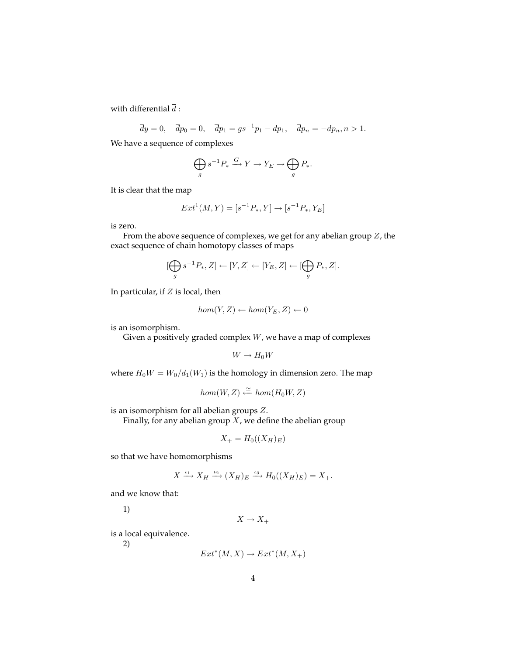with differential  $\overline{d}$  :

 $\overline{d}y = 0, \quad \overline{d}p_0 = 0, \quad \overline{d}p_1 = gs^{-1}p_1 - dp_1, \quad \overline{d}p_n = -dp_n, n > 1.$ 

We have a sequence of complexes

$$
\bigoplus_{g} s^{-1} P_* \xrightarrow{G} Y \to Y_E \to \bigoplus_{g} P_*.
$$

It is clear that the map

$$
Ext^1(M, Y) = [s^{-1}P_*, Y] \to [s^{-1}P_*, Y_E]
$$

is zero.

From the above sequence of complexes, we get for any abelian group Z, the exact sequence of chain homotopy classes of maps

$$
[\bigoplus_{g} s^{-1}P_{*}, Z] \leftarrow [Y, Z] \leftarrow [Y_{E}, Z] \leftarrow [\bigoplus_{g} P_{*}, Z].
$$

In particular, if  $Z$  is local, then

$$
hom(Y, Z) \leftarrow hom(Y_E, Z) \leftarrow 0
$$

is an isomorphism.

Given a positively graded complex  $W$ , we have a map of complexes

$$
W\to H_0W
$$

where  $H_0W = W_0/d_1(W_1)$  is the homology in dimension zero. The map

$$
hom(W,Z)\stackrel{\simeq}{\longleftarrow} hom(H_0W,Z)
$$

is an isomorphism for all abelian groups Z.

Finally, for any abelian group  $\overline{X}$ , we define the abelian group

$$
X_{+} = H_0((X_H)_E)
$$

so that we have homomorphisms

$$
X \xrightarrow{\iota_1} X_H \xrightarrow{\iota_2} (X_H)_E \xrightarrow{\iota_3} H_0((X_H)_E) = X_+.
$$

and we know that:

1)

 $X \to X_+$ 

is a local equivalence.

2)

$$
Ext^*(M, X) \to Ext^*(M, X_+)
$$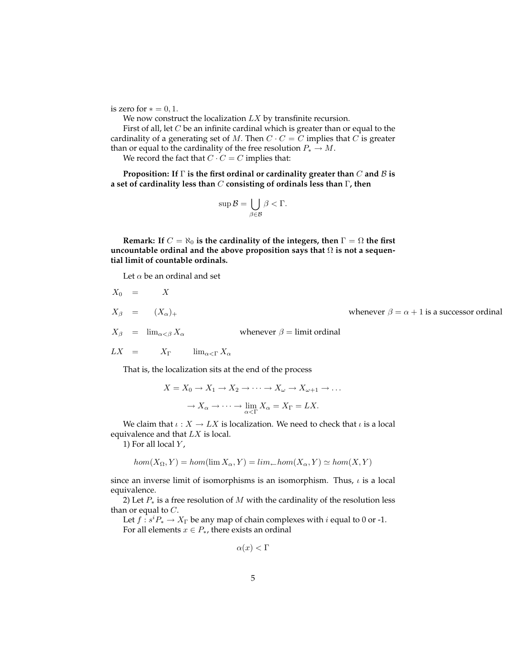is zero for  $* = 0, 1$ .

We now construct the localization  $LX$  by transfinite recursion.

First of all, let  $C$  be an infinite cardinal which is greater than or equal to the cardinality of a generating set of M. Then  $C \cdot C = C$  implies that C is greater than or equal to the cardinality of the free resolution  $P_* \to M$ .

We record the fact that  $C \cdot C = C$  implies that:

**Proposition: If** Γ **is the first ordinal or cardinality greater than** C **and** B **is a set of cardinality less than** C **consisting of ordinals less than** Γ**, then**

$$
\sup \mathcal{B} = \bigcup_{\beta \in \mathcal{B}} \beta < \Gamma.
$$

**Remark:** If  $C = \aleph_0$  is the cardinality of the integers, then  $\Gamma = \Omega$  the first **uncountable ordinal and the above proposition says that** Ω **is not a sequential limit of countable ordinals.**

Let  $\alpha$  be an ordinal and set

$$
X_0 = X
$$
  
\n
$$
X_{\beta} = (X_{\alpha})_{+}
$$
  
\n
$$
X_{\beta} = \lim_{\alpha < \beta} X_{\alpha}
$$
  
\nwhenever  $\beta = \lim_{\alpha \to 0} \alpha + 1$  is a successor ordinal  
\n
$$
LX = X_{\Gamma} \qquad \lim_{\alpha \to \Gamma} X_{\alpha}
$$

That is, the localization sits at the end of the process

$$
X = X_0 \to X_1 \to X_2 \to \cdots \to X_{\omega} \to X_{\omega+1} \to \dots
$$

$$
\to X_{\alpha} \to \cdots \to \lim_{\alpha < \Gamma} X_{\alpha} = X_{\Gamma} = LX.
$$

We claim that  $\iota : X \to LX$  is localization. We need to check that  $\iota$  is a local equivalence and that  $LX$  is local.

1) For all local  $Y$ ,

$$
hom(X_{\Omega}, Y) = hom(\lim X_{\alpha}, Y) = lim_{\leftarrow} hom(X_{\alpha}, Y) \simeq hom(X, Y)
$$

since an inverse limit of isomorphisms is an isomorphism. Thus,  $\iota$  is a local equivalence.

2) Let  $P_*$  is a free resolution of M with the cardinality of the resolution less than or equal to  $C$ .

Let  $f : s^i P_* \to X_\Gamma$  be any map of chain complexes with i equal to 0 or -1. For all elements  $x \in P_*$ , there exists an ordinal

$$
\alpha(x) < \Gamma
$$